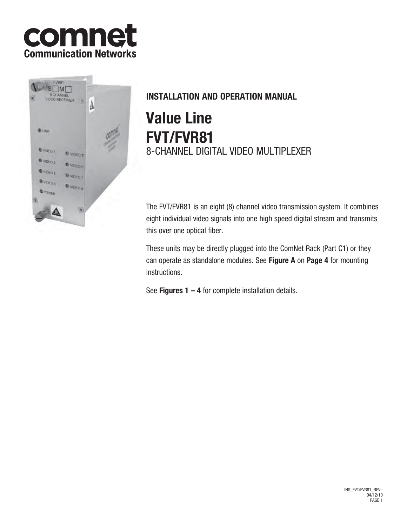



# **INSTALLATION AND OPERATION MANUAL**

# **Value Line FVT/FVR81** 8-CHANNEL DIGITAL VIDEO MULTIPLEXER

The FVT/FVR81 is an eight (8) channel video transmission system. It combines eight individual video signals into one high speed digital stream and transmits this over one optical fiber.

These units may be directly plugged into the ComNet Rack (Part C1) or they can operate as standalone modules. See **Figure A** on **Page 4** for mounting instructions.

See **Figures 1 – 4** for complete installation details.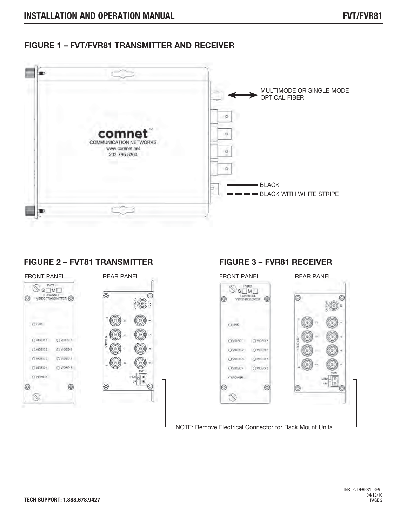### **FIGURE 1 – FVT/FVR81 TRANSMITTER AND RECEIVER**



### **FIGURE 2 – FVT81 TRANSMITTER**



### **FIGURE 3 – FVR81 RECEIVER**

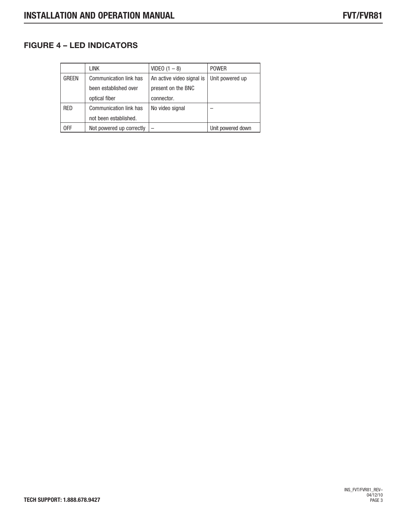# **FIGURE 4 – LED INDICATORS**

|              | link                          | $VIDEO (1 - 8)$           | <b>POWER</b>      |
|--------------|-------------------------------|---------------------------|-------------------|
| <b>GREEN</b> | Communication link has        | An active video signal is | Unit powered up   |
|              | been established over         | present on the BNC        |                   |
|              | optical fiber                 | connector.                |                   |
| <b>RED</b>   | <b>Communication link has</b> | No video signal           |                   |
|              | not been established.         |                           |                   |
| 0FF          | Not powered up correctly      |                           | Unit powered down |